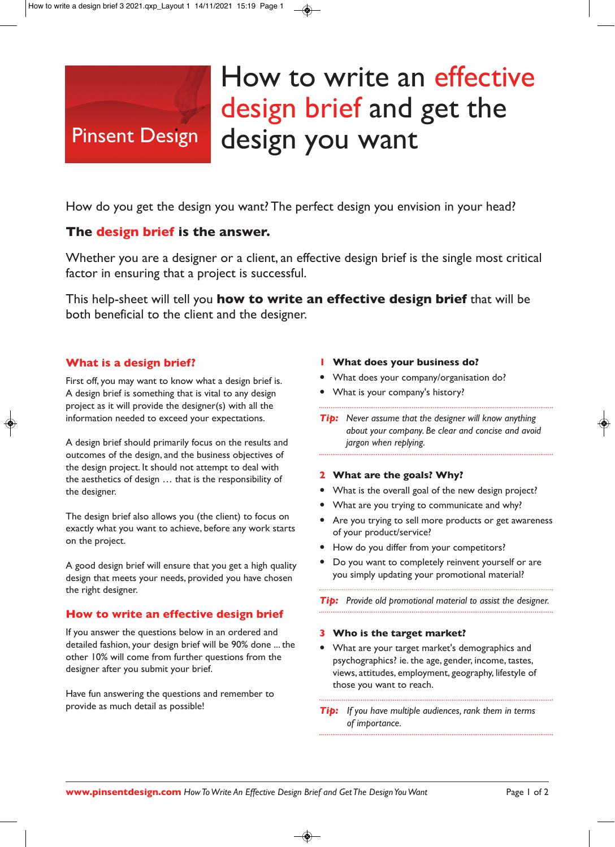# **Pinsent Design**

# How to write an effective design brief and get the design you want

How do you get the design you want? The perfect design you envision in your head?

# **The design brief is the answer.**

Whether you are a designer or a client, an effective design brief is the single most critical factor in ensuring that a project is successful.

This help-sheet will tell you **how to write an effective design brief** that will be both beneficial to the client and the designer.

## **What is a design brief?**

First off, you may want to know what a design brief is. A design brief is something that is vital to any design project as it will provide the designer(s) with all the information needed to exceed your expectations.

A design brief should primarily focus on the results and outcomes of the design, and the business objectives of the design project. It should not attempt to deal with the aesthetics of design … that is the responsibility of the designer.

The design brief also allows you (the client) to focus on exactly what you want to achieve, before any work starts on the project.

A good design brief will ensure that you get a high quality design that meets your needs, provided you have chosen the right designer.

### **How to write an effective design brief**

If you answer the questions below in an ordered and detailed fashion, your design brief will be 90% done ... the other 10% will come from further questions from the designer after you submit your brief.

Have fun answering the questions and remember to provide as much detail as possible!

#### **1 What does your business do?**

- What does your company/organisation do?
- What is your company's history?

*Tip: Never assume that the designer will know anything about your company. Be clear and concise and avoid jargon when replying.*

#### **2 What are the goals? Why?**

- What is the overall goal of the new design project?
- What are you trying to communicate and why?
- Are you trying to sell more products or get awareness of your product/service?
- How do you differ from your competitors?
- Do you want to completely reinvent yourself or are you simply updating your promotional material?

*Tip: Provide old promotional material to assist the designer.* 

#### **3 Who is the target market?**

 What are your target market's demographics and psychographics? ie. the age, gender, income, tastes, views, attitudes, employment, geography, lifestyle of those you want to reach.

*Tip: If you have multiple audiences, rank them in terms of importance.*